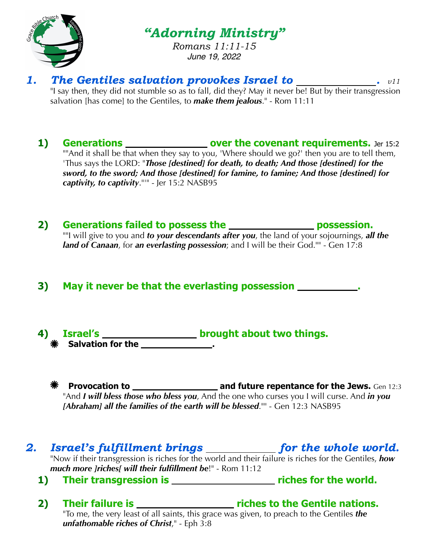

*"Adorning Ministry"*

*Romans 11:11-15 June 19, 2022*

- 1. The Gentiles salvation provokes Israel to \_\_\_\_\_\_\_\_\_\_\_\_.  $v11$ "I say then, they did not stumble so as to fall, did they? May it never be! But by their transgression salvation [has come] to the Gentiles, to *make them jealous*." - Rom 11:11
	- **1)** Generations \_\_\_\_\_\_\_\_\_\_\_\_\_\_\_\_\_\_\_\_ over the covenant requirements. Jer 15:2 ""And it shall be that when they say to you, 'Where should we go?' then you are to tell them, 'Thus says the LORD: "*Those [destined] for death, to death; And those [destined] for the sword, to the sword; And those [destined] for famine, to famine; And those [destined] for captivity, to captivity*."'" - Jer 15:2 NASB95
	- 2) Generations failed to possess the **possession** possession. ""I will give to you and *to your descendants after you*, the land of your sojournings, *all the land of Canaan*, for *an everlasting possession*; and I will be their God."" - Gen 17:8
	- **3) May it never be that the everlasting possession .**
	- **4) Israel's** 150 **1872 Israel's brought about two things. EXECUTE:** Salvation for the <u>same second</u>.
		- **Provocation to \_\_\_\_\_\_\_\_\_\_\_\_\_\_\_\_\_\_\_\_\_\_\_ and future repentance for the Jews.** Gen 12:3 "And *I will bless those who bless you*, And the one who curses you I will curse. And *in you [Abraham] all the families of the earth will be blessed.*"" - Gen 12:3 NASB95

## 2. *Israel's fulfillment brings for the whole world.*

"Now if their transgression is riches for the world and their failure is riches for the Gentiles, *how much more ]riches[ will their fulfillment be*!" - Rom 11:12

- **1)** Their transgression is **riches for the world.** 
	-
- 2) Their failure is **Physical Electron Control** riches to the Gentile nations. "To me, the very least of all saints, this grace was given, to preach to the Gentiles *the unfathomable riches of Christ*," - Eph 3:8